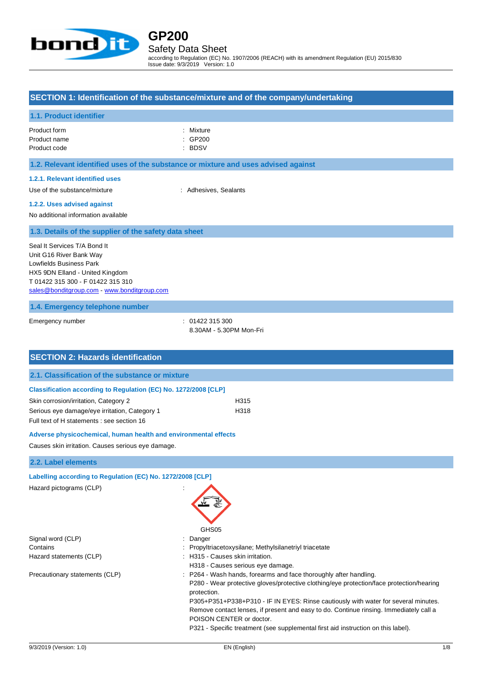

# **GP200** Safety Data Sheet

according to Regulation (EC) No. 1907/2006 (REACH) with its amendment Regulation (EU) 2015/830 Issue date: 9/3/2019 Version: 1.0

### **SECTION 1: Identification of the substance/mixture and of the company/undertaking**

### **1.1. Product identifier**

| Product form | : Mixture |
|--------------|-----------|
| Product name | : GP200   |
| Product code | ∴ BDSV    |

### **1.2. Relevant identified uses of the substance or mixture and uses advised against**

#### **1.2.1. Relevant identified uses**

Use of the substance/mixture : Adhesives, Sealants

#### **1.2.2. Uses advised against**

No additional information available

**1.3. Details of the supplier of the safety data sheet**

Seal It Services T/A Bond It Unit G16 River Bank Way Lowfields Business Park HX5 9DN Elland - United Kingdom T 01422 315 300 - F 01422 315 310 [sales@bonditgroup.com](mailto:sales@bonditgroup.com) - <www.bonditgroup.com>

**1.4. Emergency telephone number**

Emergency number : 01422 315 300

8.30AM - 5.30PM Mon-Fri

| <b>SECTION 2: Hazards identification</b>                        |      |
|-----------------------------------------------------------------|------|
| 2.1. Classification of the substance or mixture                 |      |
| Classification according to Regulation (EC) No. 1272/2008 [CLP] |      |
| Skin corrosion/irritation, Category 2                           | H315 |
| Serious eye damage/eye irritation, Category 1                   | H318 |
| Full text of H statements : see section 16                      |      |
| Adverse physicochemical, human health and environmental effects |      |
| Causes skin irritation. Causes serious eye damage.              |      |
| 2.2. Label elements                                             |      |
| Labelling according to Regulation (EC) No. 1272/2008 [CLP]      |      |
| Hazard pictograms (CLP)<br>GHS05                                |      |

- Signal word (CLP) : Danger
- Contains : Propyltriacetoxysilane; Methylsilanetriyl triacetate
- Hazard statements (CLP)  $\qquad \qquad$ : H315 Causes skin irritation.
	- H318 Causes serious eye damage.
- Precautionary statements (CLP) : P264 Wash hands, forearms and face thoroughly after handling.

P280 - Wear protective gloves/protective clothing/eye protection/face protection/hearing protection.

P305+P351+P338+P310 - IF IN EYES: Rinse cautiously with water for several minutes. Remove contact lenses, if present and easy to do. Continue rinsing. Immediately call a POISON CENTER or doctor.

P321 - Specific treatment (see supplemental first aid instruction on this label).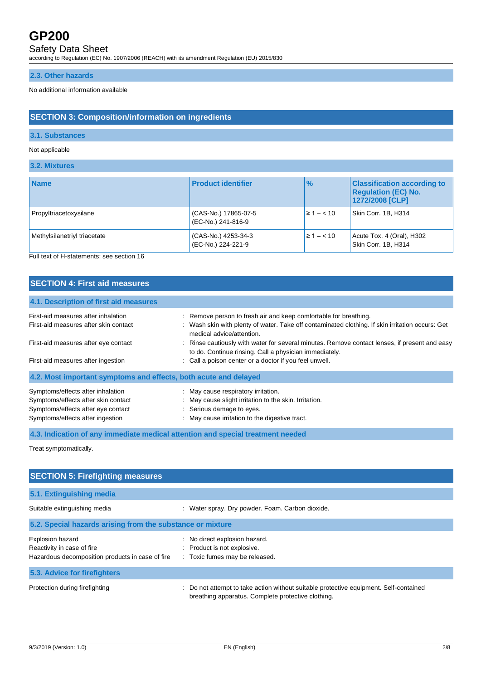# Safety Data Sheet

according to Regulation (EC) No. 1907/2006 (REACH) with its amendment Regulation (EU) 2015/830

### **2.3. Other hazards**

No additional information available

# **SECTION 3: Composition/information on ingredients**

### **3.1. Substances**

### Not applicable

### **3.2. Mixtures**

| <b>Name</b>                  | <b>Product identifier</b>                  | $\frac{9}{6}$ | <b>Classification according to</b><br><b>Regulation (EC) No.</b><br>1272/2008 [CLP] |
|------------------------------|--------------------------------------------|---------------|-------------------------------------------------------------------------------------|
| Propyltriacetoxysilane       | (CAS-No.) 17865-07-5<br>(EC-No.) 241-816-9 | $\geq 1 - 10$ | Skin Corr. 1B, H314                                                                 |
| Methylsilanetriyl triacetate | (CAS-No.) 4253-34-3<br>(EC-No.) 224-221-9  | $\geq 1 - 10$ | Acute Tox. 4 (Oral), H302<br>Skin Corr. 1B, H314                                    |

Full text of H-statements: see section 16

## **SECTION 4: First aid measures**

| 4.1. Description of first aid measures                           |                                                                                                                                                         |
|------------------------------------------------------------------|---------------------------------------------------------------------------------------------------------------------------------------------------------|
| First-aid measures after inhalation                              | : Remove person to fresh air and keep comfortable for breathing.                                                                                        |
| First-aid measures after skin contact                            | : Wash skin with plenty of water. Take off contaminated clothing. If skin irritation occurs: Get<br>medical advice/attention.                           |
| First-aid measures after eye contact                             | : Rinse cautiously with water for several minutes. Remove contact lenses, if present and easy<br>to do. Continue rinsing. Call a physician immediately. |
| First-aid measures after ingestion                               | : Call a poison center or a doctor if you feel unwell.                                                                                                  |
| 4.2. Most important symptoms and effects, both acute and delayed |                                                                                                                                                         |
| Symptoms/effects after inhalation                                | : May cause respiratory irritation.                                                                                                                     |
| Symptoms/effects after skin contact                              | : May cause slight irritation to the skin. Irritation.                                                                                                  |
| Symptoms/effects after eye contact                               | : Serious damage to eyes.                                                                                                                               |
| Symptoms/effects after ingestion                                 | : May cause irritation to the digestive tract.                                                                                                          |

**4.3. Indication of any immediate medical attention and special treatment needed**

Treat symptomatically.

| <b>SECTION 5: Firefighting measures</b>                                                                   |                                                                                                                                           |
|-----------------------------------------------------------------------------------------------------------|-------------------------------------------------------------------------------------------------------------------------------------------|
| 5.1. Extinguishing media                                                                                  |                                                                                                                                           |
| Suitable extinguishing media                                                                              | : Water spray. Dry powder. Foam. Carbon dioxide.                                                                                          |
| 5.2. Special hazards arising from the substance or mixture                                                |                                                                                                                                           |
| <b>Explosion hazard</b><br>Reactivity in case of fire<br>Hazardous decomposition products in case of fire | : No direct explosion hazard.<br>: Product is not explosive.<br>: Toxic fumes may be released.                                            |
| 5.3. Advice for firefighters                                                                              |                                                                                                                                           |
| Protection during firefighting                                                                            | Do not attempt to take action without suitable protective equipment. Self-contained<br>breathing apparatus. Complete protective clothing. |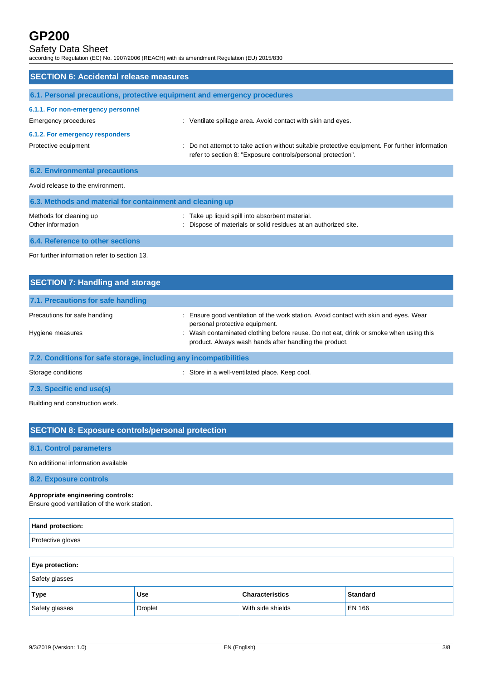# Safety Data Sheet

according to Regulation (EC) No. 1907/2006 (REACH) with its amendment Regulation (EU) 2015/830

| <b>SECTION 6: Accidental release measures</b>                            |                                                                                                                                                              |  |  |
|--------------------------------------------------------------------------|--------------------------------------------------------------------------------------------------------------------------------------------------------------|--|--|
| 6.1. Personal precautions, protective equipment and emergency procedures |                                                                                                                                                              |  |  |
| 6.1.1. For non-emergency personnel<br>Emergency procedures               | : Ventilate spillage area. Avoid contact with skin and eyes.                                                                                                 |  |  |
| 6.1.2. For emergency responders<br>Protective equipment                  | Do not attempt to take action without suitable protective equipment. For further information<br>refer to section 8: "Exposure controls/personal protection". |  |  |
| <b>6.2. Environmental precautions</b>                                    |                                                                                                                                                              |  |  |
| Avoid release to the environment.                                        |                                                                                                                                                              |  |  |
| 6.3. Methods and material for containment and cleaning up                |                                                                                                                                                              |  |  |
| Methods for cleaning up<br>Other information                             | Take up liquid spill into absorbent material.<br>Dispose of materials or solid residues at an authorized site.                                               |  |  |
| 6.4. Reference to other sections                                         |                                                                                                                                                              |  |  |

For further information refer to section 13.

| <b>SECTION 7: Handling and storage</b>                            |                                                                                                                                                 |  |  |  |
|-------------------------------------------------------------------|-------------------------------------------------------------------------------------------------------------------------------------------------|--|--|--|
| 7.1. Precautions for safe handling                                |                                                                                                                                                 |  |  |  |
| Precautions for safe handling                                     | : Ensure good ventilation of the work station. Avoid contact with skin and eyes. Wear<br>personal protective equipment.                         |  |  |  |
| Hygiene measures                                                  | : Wash contaminated clothing before reuse. Do not eat, drink or smoke when using this<br>product. Always wash hands after handling the product. |  |  |  |
| 7.2. Conditions for safe storage, including any incompatibilities |                                                                                                                                                 |  |  |  |
| Storage conditions                                                | : Store in a well-ventilated place. Keep cool.                                                                                                  |  |  |  |

**7.3. Specific end use(s)**

Building and construction work.

## **SECTION 8: Exposure controls/personal protection**

### **8.1. Control parameters**

No additional information available

**8.2. Exposure controls**

## **Appropriate engineering controls:**

Ensure good ventilation of the work station.

| Hand protection:                                                       |                |                   |               |  |  |
|------------------------------------------------------------------------|----------------|-------------------|---------------|--|--|
| Protective gloves                                                      |                |                   |               |  |  |
|                                                                        |                |                   |               |  |  |
| Eye protection:                                                        |                |                   |               |  |  |
| Safety glasses                                                         |                |                   |               |  |  |
| <b>Standard</b><br><b>Characteristics</b><br><b>Type</b><br><b>Use</b> |                |                   |               |  |  |
| Safety glasses                                                         | <b>Droplet</b> | With side shields | <b>EN 166</b> |  |  |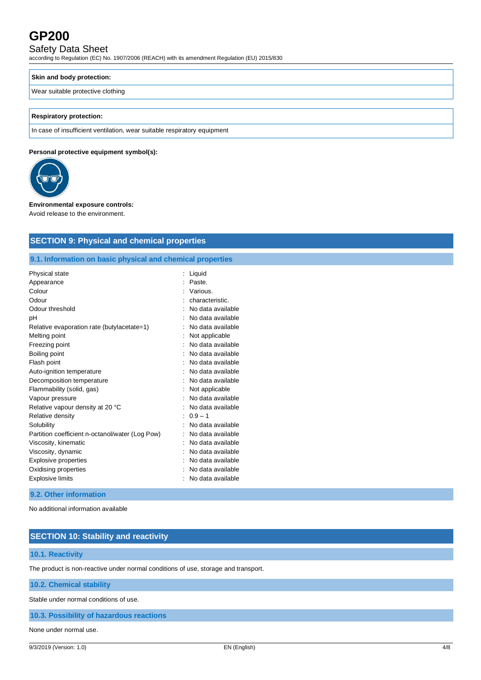# Safety Data Sheet

according to Regulation (EC) No. 1907/2006 (REACH) with its amendment Regulation (EU) 2015/830

### **Skin and body protection:**

### Wear suitable protective clothing

### **Respiratory protection:**

In case of insufficient ventilation, wear suitable respiratory equipment

### **Personal protective equipment symbol(s):**



### **Environmental exposure controls:**

Avoid release to the environment.

| <b>SECTION 9: Physical and chemical properties</b>                                                                                                                                                                                                                                                                                                                                                                                  |                                                                                                                                                                                                                                                                                                                                                                        |  |  |  |
|-------------------------------------------------------------------------------------------------------------------------------------------------------------------------------------------------------------------------------------------------------------------------------------------------------------------------------------------------------------------------------------------------------------------------------------|------------------------------------------------------------------------------------------------------------------------------------------------------------------------------------------------------------------------------------------------------------------------------------------------------------------------------------------------------------------------|--|--|--|
|                                                                                                                                                                                                                                                                                                                                                                                                                                     |                                                                                                                                                                                                                                                                                                                                                                        |  |  |  |
| 9.1. Information on basic physical and chemical properties                                                                                                                                                                                                                                                                                                                                                                          |                                                                                                                                                                                                                                                                                                                                                                        |  |  |  |
| <b>Physical state</b><br>Appearance<br>Colour<br>Odour<br>Odour threshold<br>pH<br>Relative evaporation rate (butylacetate=1)<br>Melting point<br>Freezing point<br>Boiling point<br>Flash point<br>Auto-ignition temperature<br>Decomposition temperature<br>Flammability (solid, gas)<br>Vapour pressure<br>Relative vapour density at 20 °C<br>Relative density<br>Solubility<br>Partition coefficient n-octanol/water (Log Pow) | Liquid<br>÷<br>Paste.<br>÷<br>Various.<br>characteristic.<br>No data available<br>No data available<br>No data available<br>Not applicable<br>No data available<br>No data available<br>No data available<br>No data available<br>No data available<br>Not applicable<br>No data available<br>No data available<br>$0.9 - 1$<br>No data available<br>No data available |  |  |  |
| Viscosity, kinematic<br>Viscosity, dynamic<br><b>Explosive properties</b><br>Oxidising properties<br><b>Explosive limits</b>                                                                                                                                                                                                                                                                                                        | No data available<br>No data available<br>No data available<br>No data available<br>No data available                                                                                                                                                                                                                                                                  |  |  |  |
| 9.2. Other information                                                                                                                                                                                                                                                                                                                                                                                                              |                                                                                                                                                                                                                                                                                                                                                                        |  |  |  |

No additional information available

# **SECTION 10: Stability and reactivity**

### **10.1. Reactivity**

The product is non-reactive under normal conditions of use, storage and transport.

**10.2. Chemical stability**

Stable under normal conditions of use.

**10.3. Possibility of hazardous reactions**

None under normal use.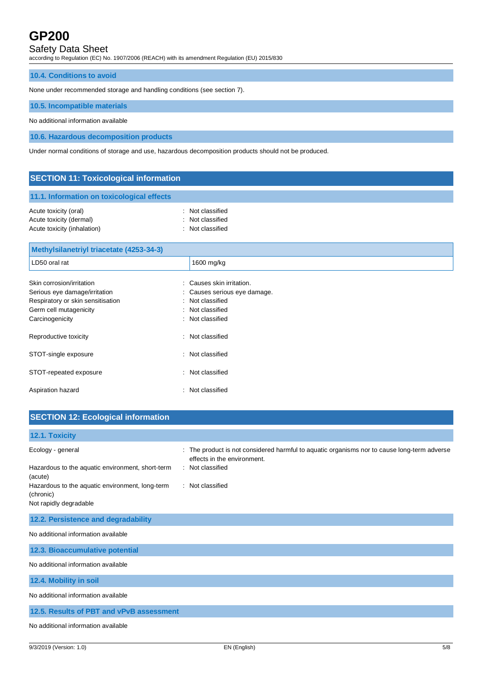# Safety Data Sheet

according to Regulation (EC) No. 1907/2006 (REACH) with its amendment Regulation (EU) 2015/830

### **10.4. Conditions to avoid**

None under recommended storage and handling conditions (see section 7).

Aspiration hazard **in the set of the set of the set of the set of the set of the set of the set of the set of the set of the set of the set of the set of the set of the set of the set of the set of the set of the set of th** 

### **10.5. Incompatible materials**

No additional information available

**10.6. Hazardous decomposition products**

Under normal conditions of storage and use, hazardous decomposition products should not be produced.

| <b>SECTION 11: Toxicological information</b>                                                                                                 |                                                                                                             |  |  |
|----------------------------------------------------------------------------------------------------------------------------------------------|-------------------------------------------------------------------------------------------------------------|--|--|
| 11.1. Information on toxicological effects                                                                                                   |                                                                                                             |  |  |
| Acute toxicity (oral)<br>Acute toxicity (dermal)<br>Acute toxicity (inhalation)                                                              | Not classified<br>٠<br>Not classified<br>Not classified                                                     |  |  |
| Methylsilanetriyl triacetate (4253-34-3)                                                                                                     |                                                                                                             |  |  |
| LD50 oral rat                                                                                                                                | 1600 mg/kg                                                                                                  |  |  |
| Skin corrosion/irritation<br>Serious eye damage/irritation<br>Respiratory or skin sensitisation<br>Germ cell mutagenicity<br>Carcinogenicity | Causes skin irritation.<br>Causes serious eye damage.<br>Not classified<br>Not classified<br>Not classified |  |  |
| Reproductive toxicity                                                                                                                        | : Not classified                                                                                            |  |  |
| STOT-single exposure                                                                                                                         | Not classified                                                                                              |  |  |
| STOT-repeated exposure                                                                                                                       | : Not classified                                                                                            |  |  |

| <b>SECTION 12: Ecological information</b>                    |                                                                                                                          |
|--------------------------------------------------------------|--------------------------------------------------------------------------------------------------------------------------|
| 12.1. Toxicity                                               |                                                                                                                          |
| Ecology - general                                            | The product is not considered harmful to aquatic organisms nor to cause long-term adverse<br>effects in the environment. |
| Hazardous to the aquatic environment, short-term<br>(acute)  | : Not classified                                                                                                         |
| Hazardous to the aquatic environment, long-term<br>(chronic) | : Not classified                                                                                                         |
| Not rapidly degradable                                       |                                                                                                                          |
| 12.2. Persistence and degradability                          |                                                                                                                          |
| No additional information available                          |                                                                                                                          |
| 12.3. Bioaccumulative potential                              |                                                                                                                          |
| No additional information available                          |                                                                                                                          |
| 12.4. Mobility in soil                                       |                                                                                                                          |
| No additional information available                          |                                                                                                                          |
| 12.5. Results of PBT and vPvB assessment                     |                                                                                                                          |
| No additional information available                          |                                                                                                                          |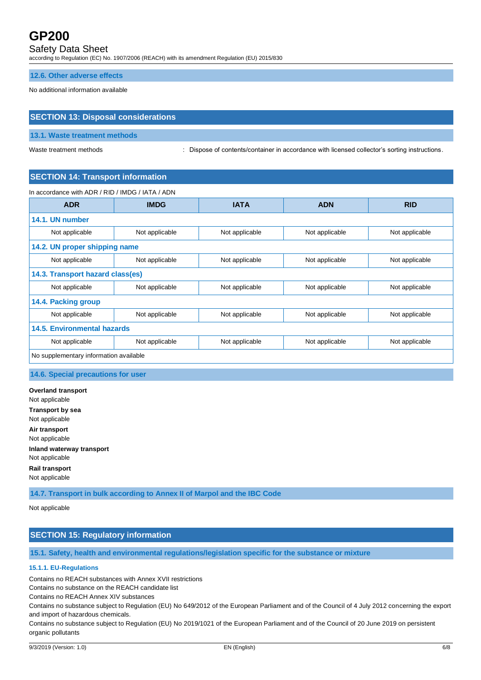# Safety Data Sheet

according to Regulation (EC) No. 1907/2006 (REACH) with its amendment Regulation (EU) 2015/830

**12.6. Other adverse effects**

No additional information available

# **SECTION 13: Disposal considerations**

### **13.1. Waste treatment methods**

Waste treatment methods **interpretations** : Dispose of contents/container in accordance with licensed collector's sorting instructions.

### **SECTION 14: Transport information**

In accordance with ADR / RID / IMDG / IATA / ADN

| <b>ADR</b>                             | <b>IMDG</b>    | <b>IATA</b>    | <b>ADN</b>     | <b>RID</b>     |
|----------------------------------------|----------------|----------------|----------------|----------------|
| 14.1. UN number                        |                |                |                |                |
| Not applicable                         | Not applicable | Not applicable | Not applicable | Not applicable |
| 14.2. UN proper shipping name          |                |                |                |                |
| Not applicable                         | Not applicable | Not applicable | Not applicable | Not applicable |
| 14.3. Transport hazard class(es)       |                |                |                |                |
| Not applicable                         | Not applicable | Not applicable | Not applicable | Not applicable |
| 14.4. Packing group                    |                |                |                |                |
| Not applicable                         | Not applicable | Not applicable | Not applicable | Not applicable |
| <b>14.5. Environmental hazards</b>     |                |                |                |                |
| Not applicable                         | Not applicable | Not applicable | Not applicable | Not applicable |
| No supplementary information available |                |                |                |                |

### **14.6. Special precautions for user**

**Overland transport** Not applicable **Transport by sea** Not applicable **Air transport** Not applicable **Inland waterway transport** Not applicable **Rail transport** Not applicable

**14.7. Transport in bulk according to Annex II of Marpol and the IBC Code**

Not applicable

# **SECTION 15: Regulatory information**

**15.1. Safety, health and environmental regulations/legislation specific for the substance or mixture**

### **15.1.1. EU-Regulations**

Contains no REACH substances with Annex XVII restrictions

Contains no substance on the REACH candidate list

Contains no REACH Annex XIV substances

Contains no substance subject to Regulation (EU) No 649/2012 of the European Parliament and of the Council of 4 July 2012 concerning the export and import of hazardous chemicals.

Contains no substance subject to Regulation (EU) No 2019/1021 of the European Parliament and of the Council of 20 June 2019 on persistent organic pollutants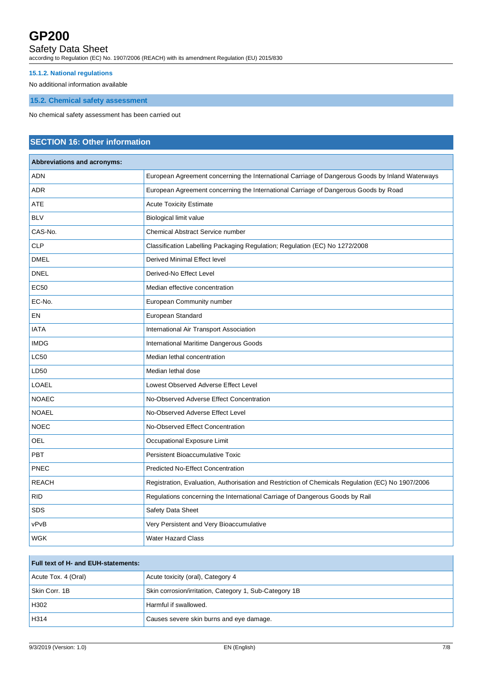# Safety Data Sheet

according to Regulation (EC) No. 1907/2006 (REACH) with its amendment Regulation (EU) 2015/830

# **15.1.2. National regulations**

No additional information available

## **15.2. Chemical safety assessment**

No chemical safety assessment has been carried out

# **SECTION 16: Other information**

| <b>Abbreviations and acronyms:</b> |                                                                                                   |  |
|------------------------------------|---------------------------------------------------------------------------------------------------|--|
| <b>ADN</b>                         | European Agreement concerning the International Carriage of Dangerous Goods by Inland Waterways   |  |
| <b>ADR</b>                         | European Agreement concerning the International Carriage of Dangerous Goods by Road               |  |
| <b>ATE</b>                         | <b>Acute Toxicity Estimate</b>                                                                    |  |
| <b>BLV</b>                         | Biological limit value                                                                            |  |
| CAS-No.                            | <b>Chemical Abstract Service number</b>                                                           |  |
| <b>CLP</b>                         | Classification Labelling Packaging Regulation; Regulation (EC) No 1272/2008                       |  |
| <b>DMEL</b>                        | Derived Minimal Effect level                                                                      |  |
| <b>DNEL</b>                        | Derived-No Effect Level                                                                           |  |
| <b>EC50</b>                        | Median effective concentration                                                                    |  |
| EC-No.                             | European Community number                                                                         |  |
| EN                                 | European Standard                                                                                 |  |
| <b>IATA</b>                        | International Air Transport Association                                                           |  |
| <b>IMDG</b>                        | International Maritime Dangerous Goods                                                            |  |
| <b>LC50</b>                        | Median lethal concentration                                                                       |  |
| LD50                               | Median lethal dose                                                                                |  |
| <b>LOAEL</b>                       | Lowest Observed Adverse Effect Level                                                              |  |
| <b>NOAEC</b>                       | No-Observed Adverse Effect Concentration                                                          |  |
| <b>NOAEL</b>                       | No-Observed Adverse Effect Level                                                                  |  |
| <b>NOEC</b>                        | No-Observed Effect Concentration                                                                  |  |
| <b>OEL</b>                         | Occupational Exposure Limit                                                                       |  |
| <b>PBT</b>                         | <b>Persistent Bioaccumulative Toxic</b>                                                           |  |
| PNEC                               | <b>Predicted No-Effect Concentration</b>                                                          |  |
| <b>REACH</b>                       | Registration, Evaluation, Authorisation and Restriction of Chemicals Regulation (EC) No 1907/2006 |  |
| <b>RID</b>                         | Regulations concerning the International Carriage of Dangerous Goods by Rail                      |  |
| <b>SDS</b>                         | Safety Data Sheet                                                                                 |  |
| vPvB                               | Very Persistent and Very Bioaccumulative                                                          |  |
| <b>WGK</b>                         | <b>Water Hazard Class</b>                                                                         |  |
|                                    |                                                                                                   |  |

## **Full text of H- and EUH-statements:**

| Acute Tox. 4 (Oral) | Acute toxicity (oral), Category 4                      |
|---------------------|--------------------------------------------------------|
| Skin Corr. 1B       | Skin corrosion/irritation, Category 1, Sub-Category 1B |
| H302                | Harmful if swallowed.                                  |
| H314                | Causes severe skin burns and eye damage.               |